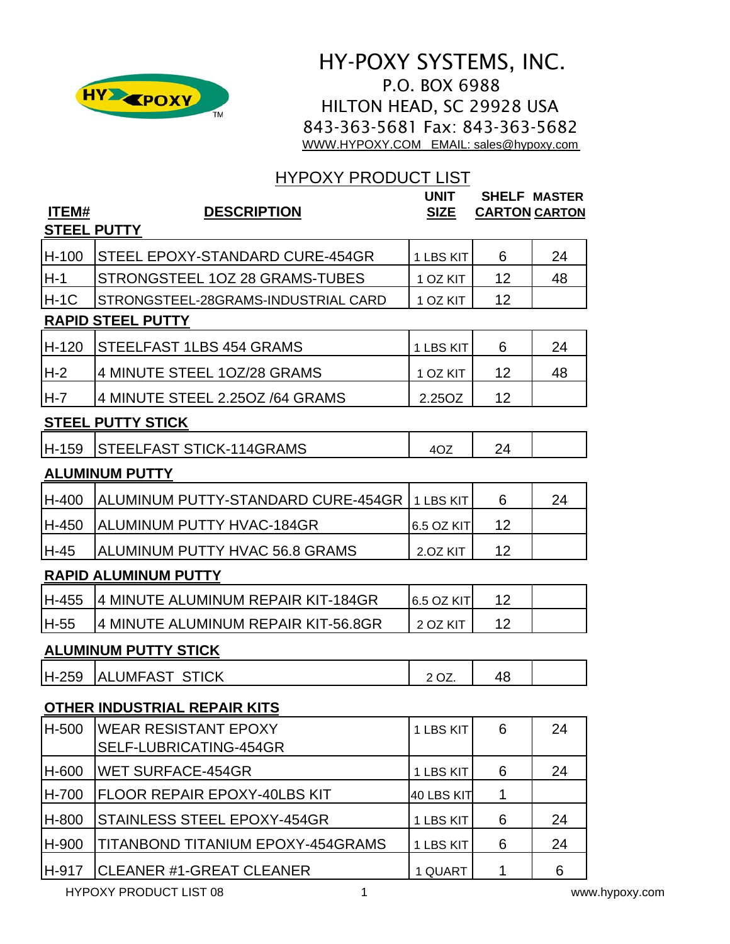

# HY-POXY SYSTEMS, INC. P.O. BOX 6988 HILTON HEAD, SC 29928 USA 843-363-5681 Fax: 843-363-5682 [WWW.HYPOXY.COM EMAIL: sales@hypoxy.com](http://www.hypoxy.com/)

# HYPOXY PRODUCT LIST

| ITEM#   | <b>DESCRIPTION</b>                                    | <b>UNIT</b><br><b>SIZE</b> | <b>CARTON CARTON</b> | <b>SHELF MASTER</b> |  |
|---------|-------------------------------------------------------|----------------------------|----------------------|---------------------|--|
|         | STEEL PUTTY                                           |                            |                      |                     |  |
| H-100   | STEEL EPOXY-STANDARD CURE-454GR                       | 1 LBS KIT                  | 6                    | 24                  |  |
| H-1     | STRONGSTEEL 1OZ 28 GRAMS-TUBES                        | 1 OZ KIT                   | $12 \overline{ }$    | 48                  |  |
| $H-1C$  | STRONGSTEEL-28GRAMS-INDUSTRIAL CARD                   | 1 OZ KIT                   | 12                   |                     |  |
|         | <b>RAPID STEEL PUTTY</b>                              |                            |                      |                     |  |
| H-120   | <b>STEELFAST 1LBS 454 GRAMS</b>                       | 1 LBS KIT                  | 6                    | 24                  |  |
| H-2     | 4 MINUTE STEEL 10Z/28 GRAMS                           | 1 OZ KIT                   | 12                   | 48                  |  |
| $H - 7$ | 4 MINUTE STEEL 2.25OZ /64 GRAMS                       | 2.25OZ                     | 12                   |                     |  |
|         | <b>STEEL PUTTY STICK</b>                              |                            |                      |                     |  |
| H-159   | STEELFAST STICK-114GRAMS                              | 4OZ                        | 24                   |                     |  |
|         | <b>ALUMINUM PUTTY</b>                                 |                            |                      |                     |  |
| H-400   | ALUMINUM PUTTY-STANDARD CURE-454GR                    | 1 LBS KIT                  | 6                    | 24                  |  |
| H-450   | ALUMINUM PUTTY HVAC-184GR                             | 6.5 OZ KIT                 | 12                   |                     |  |
| H-45    | ALUMINUM PUTTY HVAC 56.8 GRAMS                        | 2.OZ KIT                   | 12                   |                     |  |
|         | <b>RAPID ALUMINUM PUTTY</b>                           |                            |                      |                     |  |
| H-455   | 4 MINUTE ALUMINUM REPAIR KIT-184GR                    | 6.5 OZ KIT                 | 12                   |                     |  |
| H-55    | 4 MINUTE ALUMINUM REPAIR KIT-56.8GR                   | 2 OZ KIT                   | 12                   |                     |  |
|         | <b>ALUMINUM PUTTY STICK</b>                           |                            |                      |                     |  |
| H-259   | ALUMFAST STICK                                        | 2 OZ.                      | 48                   |                     |  |
|         | <b>OTHER INDUSTRIAL REPAIR KITS</b>                   |                            |                      |                     |  |
| H-500   | <b>WEAR RESISTANT EPOXY</b><br>SELF-LUBRICATING-454GR | 1 LBS KIT                  | 6                    | 24                  |  |
| H-600   | <b>WET SURFACE-454GR</b>                              | 1 LBS KIT                  | 6                    | 24                  |  |
| H-700   | <b>FLOOR REPAIR EPOXY-40LBS KIT</b>                   | 40 LBS KIT                 | 1                    |                     |  |
| H-800   | STAINLESS STEEL EPOXY-454GR                           | 1 LBS KIT                  | 6                    | 24                  |  |
| H-900   | TITANBOND TITANIUM EPOXY-454GRAMS                     | 1 LBS KIT                  | 6                    | 24                  |  |
| H-917   | <b>CLEANER #1-GREAT CLEANER</b>                       | 1 QUART                    | 1                    | 6                   |  |
|         | <b>HYPOXY PRODUCT LIST 08</b><br>1                    |                            |                      | www.hypoxy.com      |  |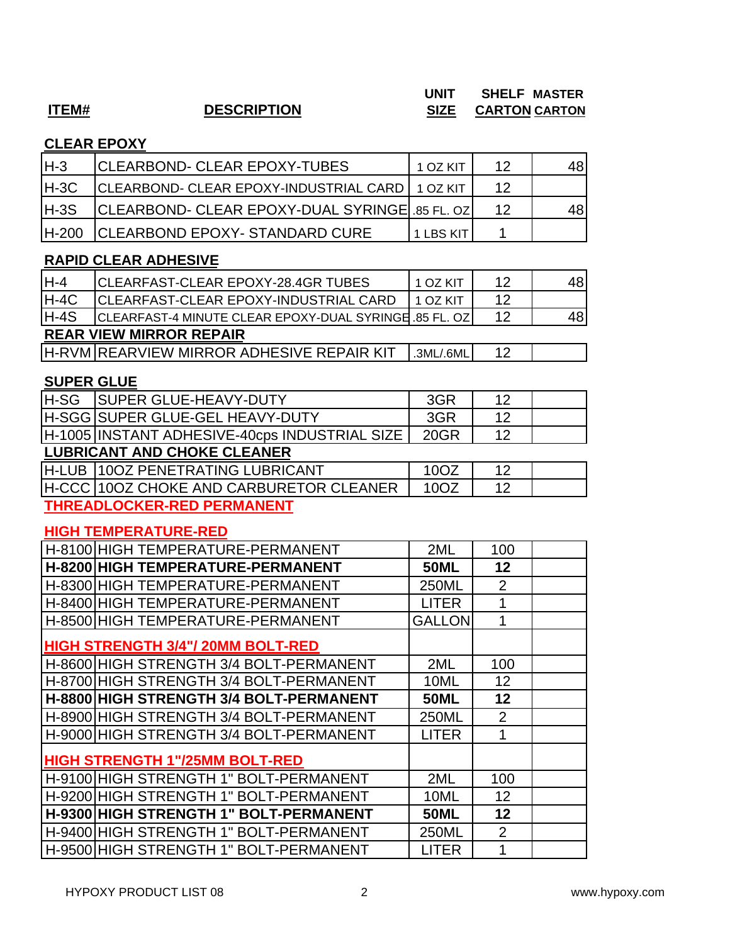# **ITEM# DESCRIPTION SIZE CARTON CARTON**

# **UNIT SHELF MASTER**

# **CLEAR EPOXY**

| IH-3   | <b>ICLEARBOND- CLEAR EPOXY-TUBES</b>              | 1 OZ KIT  | 12 |     |
|--------|---------------------------------------------------|-----------|----|-----|
| $H-3C$ | CLEARBOND- CLEAR EPOXY-INDUSTRIAL CARD   1 OZ KIT |           | 12 |     |
| H-3S   | CLEARBOND- CLEAR EPOXY-DUAL SYRINGE 35 FL. OZ     |           | 12 | 48' |
| H-200  | <b>CLEARBOND EPOXY- STANDARD CURE</b>             | 1 LBS KIT |    |     |

# **RAPID CLEAR ADHESIVE**

| lH-4   | ICLEARFAST-CLEAR EPOXY-28.4GR TUBES                   | 1 OZ KIT  | 12 | 48 |
|--------|-------------------------------------------------------|-----------|----|----|
| $H-4C$ | <b>CLEARFAST-CLEAR EPOXY-INDUSTRIAL CARD</b>          | 1 OZ KIT  | 12 |    |
| $H-4S$ | CLEARFAST-4 MINUTE CLEAR EPOXY-DUAL SYRINGE 85 FL. OZ |           | 12 | 48 |
|        | <b>REAR VIEW MIRROR REPAIR</b>                        |           |    |    |
|        | <u> IH-RVM IREARVIEW MIRROR ADHESIVE REPAIR KIT</u>   | .3ML/.6ML | 12 |    |
|        |                                                       |           |    |    |

### **SUPER GLUE**

| <b>H-SG</b> | <b>SUPER GLUE-HEAVY-DUTY</b>                   | 3GR  | 12 |  |  |
|-------------|------------------------------------------------|------|----|--|--|
|             | <b>H-SGG SUPER GLUE-GEL HEAVY-DUTY</b>         | 3GR  | 12 |  |  |
|             | H-1005 INSTANT ADHESIVE-40cps INDUSTRIAL SIZE  | 20GR | 12 |  |  |
|             | <b>LUBRICANT AND CHOKE CLEANER</b>             |      |    |  |  |
|             | H-LUB 100Z PENETRATING LUBRICANT               | 10OZ | 12 |  |  |
|             | <b>H-CCC 100Z CHOKE AND CARBURETOR CLEANER</b> | 10OZ | 12 |  |  |
|             |                                                |      |    |  |  |

**THREADLOCKER-RED PERMANENT**

### **HIGH TEMPERATURE-RED**

| H-8100 HIGH TEMPERATURE-PERMANENT        | 2ML           | 100            |  |
|------------------------------------------|---------------|----------------|--|
| H-8200 HIGH TEMPERATURE-PERMANENT        | <b>50ML</b>   | 12             |  |
| H-8300 HIGH TEMPERATURE-PERMANENT        | <b>250ML</b>  | $\overline{2}$ |  |
| H-8400 HIGH TEMPERATURE-PERMANENT        | <b>LITER</b>  | 1              |  |
| H-8500 HIGH TEMPERATURE-PERMANENT        | <b>GALLON</b> |                |  |
| <b>HIGH STRENGTH 3/4"/ 20MM BOLT-RED</b> |               |                |  |
| H-8600 HIGH STRENGTH 3/4 BOLT-PERMANENT  | 2ML           | 100            |  |
| H-8700 HIGH STRENGTH 3/4 BOLT-PERMANENT  | 10ML          | 12             |  |
| H-8800 HIGH STRENGTH 3/4 BOLT-PERMANENT  | <b>50ML</b>   | 12             |  |
| H-8900 HIGH STRENGTH 3/4 BOLT-PERMANENT  | 250ML         | $\overline{2}$ |  |
| H-9000 HIGH STRENGTH 3/4 BOLT-PERMANENT  | <b>LITER</b>  | 1              |  |
| <b>HIGH STRENGTH 1"/25MM BOLT-RED</b>    |               |                |  |
| H-9100 HIGH STRENGTH 1" BOLT-PERMANENT   | 2ML           | 100            |  |
| H-9200 HIGH STRENGTH 1" BOLT-PERMANENT   | 10ML          | 12             |  |
| H-9300 HIGH STRENGTH 1" BOLT-PERMANENT   | <b>50ML</b>   | 12             |  |
| H-9400 HIGH STRENGTH 1" BOLT-PERMANENT   | 250ML         | 2              |  |
| H-9500 HIGH STRENGTH 1" BOLT-PERMANENT   | LITER         | 1              |  |